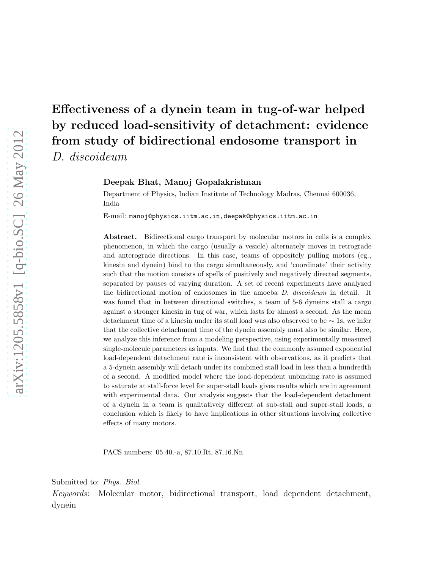# Effectiveness of a dynein team in tug-of-war helped by reduced load-sensitivity of detachment: evidence from study of bidirectional endosome transport in D. discoideum

Deepak Bhat, Manoj Gopalakrishnan

Department of Physics, Indian Institute of Technology Madras, Chennai 600036, India

E-mail: manoj@physics.iitm.ac.in,deepak@physics.iitm.ac.in

Abstract. Bidirectional cargo transport by molecular motors in cells is a complex phenomenon, in which the cargo (usually a vesicle) alternately moves in retrograde and anterograde directions. In this case, teams of oppositely pulling motors (eg., kinesin and dynein) bind to the cargo simultaneously, and 'coordinate' their activity such that the motion consists of spells of positively and negatively directed segments, separated by pauses of varying duration. A set of recent experiments have analyzed the bidirectional motion of endosomes in the amoeba D. discoideum in detail. It was found that in between directional switches, a team of 5-6 dyneins stall a cargo against a stronger kinesin in tug of war, which lasts for almost a second. As the mean detachment time of a kinesin under its stall load was also observed to be ∼ 1s, we infer that the collective detachment time of the dynein assembly must also be similar. Here, we analyze this inference from a modeling perspective, using experimentally measured single-molecule parameters as inputs. We find that the commonly assumed exponential load-dependent detachment rate is inconsistent with observations, as it predicts that a 5-dynein assembly will detach under its combined stall load in less than a hundredth of a second. A modified model where the load-dependent unbinding rate is assumed to saturate at stall-force level for super-stall loads gives results which are in agreement with experimental data. Our analysis suggests that the load-dependent detachment of a dynein in a team is qualitatively different at sub-stall and super-stall loads, a conclusion which is likely to have implications in other situations involving collective effects of many motors.

PACS numbers: 05.40.-a, 87.10.Rt, 87.16.Nn

Submitted to: Phys. Biol.

Keywords: Molecular motor, bidirectional transport, load dependent detachment, dynein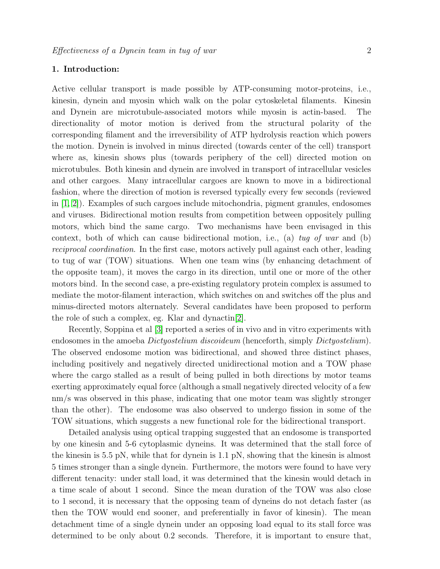## 1. Introduction:

Active cellular transport is made possible by ATP-consuming motor-proteins, i.e., kinesin, dynein and myosin which walk on the polar cytoskeletal filaments. Kinesin and Dynein are microtubule-associated motors while myosin is actin-based. The directionality of motor motion is derived from the structural polarity of the corresponding filament and the irreversibility of ATP hydrolysis reaction which powers the motion. Dynein is involved in minus directed (towards center of the cell) transport where as, kinesin shows plus (towards periphery of the cell) directed motion on microtubules. Both kinesin and dynein are involved in transport of intracellular vesicles and other cargoes. Many intracellular cargoes are known to move in a bidirectional fashion, where the direction of motion is reversed typically every few seconds (reviewed in [\[1,](#page-18-0) [2\]](#page-18-1)). Examples of such cargoes include mitochondria, pigment granules, endosomes and viruses. Bidirectional motion results from competition between oppositely pulling motors, which bind the same cargo. Two mechanisms have been envisaged in this context, both of which can cause bidirectional motion, i.e., (a) tug of war and (b) reciprocal coordination. In the first case, motors actively pull against each other, leading to tug of war (TOW) situations. When one team wins (by enhancing detachment of the opposite team), it moves the cargo in its direction, until one or more of the other motors bind. In the second case, a pre-existing regulatory protein complex is assumed to mediate the motor-filament interaction, which switches on and switches off the plus and minus-directed motors alternately. Several candidates have been proposed to perform the role of such a complex, eg. Klar and dynactin[\[2\]](#page-18-1).

Recently, Soppina et al [\[3\]](#page-18-2) reported a series of in vivo and in vitro experiments with endosomes in the amoeba *Dictyostelium discoideum* (henceforth, simply *Dictyostelium*). The observed endosome motion was bidirectional, and showed three distinct phases, including positively and negatively directed unidirectional motion and a TOW phase where the cargo stalled as a result of being pulled in both directions by motor teams exerting approximately equal force (although a small negatively directed velocity of a few nm/s was observed in this phase, indicating that one motor team was slightly stronger than the other). The endosome was also observed to undergo fission in some of the TOW situations, which suggests a new functional role for the bidirectional transport.

Detailed analysis using optical trapping suggested that an endosome is transported by one kinesin and 5-6 cytoplasmic dyneins. It was determined that the stall force of the kinesin is 5.5 pN, while that for dynein is 1.1 pN, showing that the kinesin is almost 5 times stronger than a single dynein. Furthermore, the motors were found to have very different tenacity: under stall load, it was determined that the kinesin would detach in a time scale of about 1 second. Since the mean duration of the TOW was also close to 1 second, it is necessary that the opposing team of dyneins do not detach faster (as then the TOW would end sooner, and preferentially in favor of kinesin). The mean detachment time of a single dynein under an opposing load equal to its stall force was determined to be only about 0.2 seconds. Therefore, it is important to ensure that,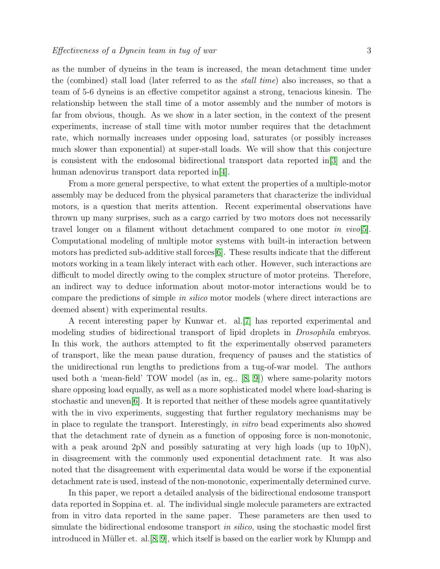as the number of dyneins in the team is increased, the mean detachment time under the (combined) stall load (later referred to as the stall time) also increases, so that a team of 5-6 dyneins is an effective competitor against a strong, tenacious kinesin. The relationship between the stall time of a motor assembly and the number of motors is far from obvious, though. As we show in a later section, in the context of the present experiments, increase of stall time with motor number requires that the detachment rate, which normally increases under opposing load, saturates (or possibly increases much slower than exponential) at super-stall loads. We will show that this conjecture is consistent with the endosomal bidirectional transport data reported in[\[3\]](#page-18-2) and the human adenovirus transport data reported in[\[4\]](#page-18-3).

From a more general perspective, to what extent the properties of a multiple-motor assembly may be deduced from the physical parameters that characterize the individual motors, is a question that merits attention. Recent experimental observations have thrown up many surprises, such as a cargo carried by two motors does not necessarily travel longer on a filament without detachment compared to one motor in vivo[\[5\]](#page-18-4). Computational modeling of multiple motor systems with built-in interaction between motors has predicted sub-additive stall forces[\[6\]](#page-18-5). These results indicate that the different motors working in a team likely interact with each other. However, such interactions are difficult to model directly owing to the complex structure of motor proteins. Therefore, an indirect way to deduce information about motor-motor interactions would be to compare the predictions of simple in silico motor models (where direct interactions are deemed absent) with experimental results.

A recent interesting paper by Kunwar et. al.[\[7\]](#page-18-6) has reported experimental and modeling studies of bidirectional transport of lipid droplets in Drosophila embryos. In this work, the authors attempted to fit the experimentally observed parameters of transport, like the mean pause duration, frequency of pauses and the statistics of the unidirectional run lengths to predictions from a tug-of-war model. The authors used both a 'mean-field' TOW model (as in, eg.,  $[8, 9]$  $[8, 9]$ ) where same-polarity motors share opposing load equally, as well as a more sophisticated model where load-sharing is stochastic and uneven[\[6\]](#page-18-5). It is reported that neither of these models agree quantitatively with the in vivo experiments, suggesting that further regulatory mechanisms may be in place to regulate the transport. Interestingly, in vitro bead experiments also showed that the detachment rate of dynein as a function of opposing force is non-monotonic, with a peak around 2pN and possibly saturating at very high loads (up to 10pN), in disagreement with the commonly used exponential detachment rate. It was also noted that the disagreement with experimental data would be worse if the exponential detachment rate is used, instead of the non-monotonic, experimentally determined curve.

In this paper, we report a detailed analysis of the bidirectional endosome transport data reported in Soppina et. al. The individual single molecule parameters are extracted from in vitro data reported in the same paper. These parameters are then used to simulate the bidirectional endosome transport in silico, using the stochastic model first introduced in Müller et. al.  $[8, 9]$  $[8, 9]$ , which itself is based on the earlier work by Klumpp and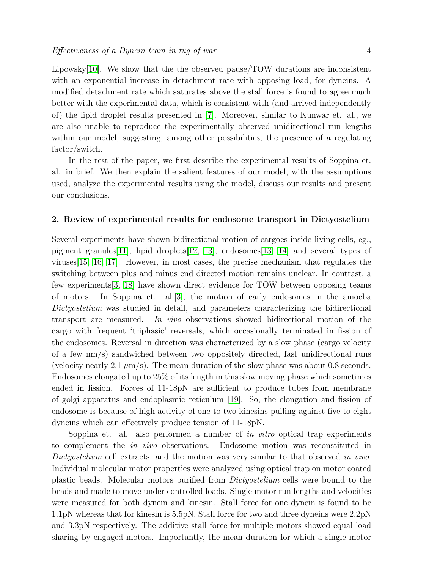Lipowsky[\[10\]](#page-18-9). We show that the the observed pause/TOW durations are inconsistent with an exponential increase in detachment rate with opposing load, for dyneins. A modified detachment rate which saturates above the stall force is found to agree much better with the experimental data, which is consistent with (and arrived independently of) the lipid droplet results presented in [\[7\]](#page-18-6). Moreover, similar to Kunwar et. al., we are also unable to reproduce the experimentally observed unidirectional run lengths within our model, suggesting, among other possibilities, the presence of a regulating factor/switch.

In the rest of the paper, we first describe the experimental results of Soppina et. al. in brief. We then explain the salient features of our model, with the assumptions used, analyze the experimental results using the model, discuss our results and present our conclusions.

#### 2. Review of experimental results for endosome transport in Dictyostelium

Several experiments have shown bidirectional motion of cargoes inside living cells, eg., pigment granules [\[11\]](#page-18-10), lipid droplets [\[12,](#page-18-11) [13\]](#page-18-12), endosomes [\[13,](#page-18-12) [14\]](#page-18-13) and several types of viruses[\[15,](#page-19-0) [16,](#page-19-1) [17\]](#page-19-2). However, in most cases, the precise mechanism that regulates the switching between plus and minus end directed motion remains unclear. In contrast, a few experiments[\[3,](#page-18-2) [18\]](#page-19-3) have shown direct evidence for TOW between opposing teams of motors. In Soppina et. al.[\[3\]](#page-18-2), the motion of early endosomes in the amoeba Dictyostelium was studied in detail, and parameters characterizing the bidirectional transport are measured. In vivo observations showed bidirectional motion of the cargo with frequent 'triphasic' reversals, which occasionally terminated in fission of the endosomes. Reversal in direction was characterized by a slow phase (cargo velocity of a few nm/s) sandwiched between two oppositely directed, fast unidirectional runs (velocity nearly 2.1  $\mu$ m/s). The mean duration of the slow phase was about 0.8 seconds. Endosomes elongated up to 25% of its length in this slow moving phase which sometimes ended in fission. Forces of 11-18pN are sufficient to produce tubes from membrane of golgi apparatus and endoplasmic reticulum [\[19\]](#page-19-4). So, the elongation and fission of endosome is because of high activity of one to two kinesins pulling against five to eight dyneins which can effectively produce tension of 11-18pN.

Soppina et. al. also performed a number of in vitro optical trap experiments to complement the in vivo observations. Endosome motion was reconstituted in Dictyostelium cell extracts, and the motion was very similar to that observed in vivo. Individual molecular motor properties were analyzed using optical trap on motor coated plastic beads. Molecular motors purified from Dictyostelium cells were bound to the beads and made to move under controlled loads. Single motor run lengths and velocities were measured for both dynein and kinesin. Stall force for one dynein is found to be 1.1pN whereas that for kinesin is 5.5pN. Stall force for two and three dyneins were 2.2pN and 3.3pN respectively. The additive stall force for multiple motors showed equal load sharing by engaged motors. Importantly, the mean duration for which a single motor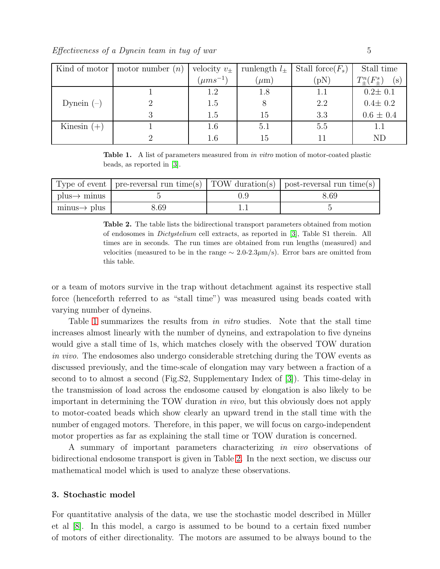Effectiveness of a Dynein team in tug of war 5

| Kind of motor | motor number $(n)$ | velocity $v_{\pm}$ | runlength $l_{+}$ | Stall force $(F_s)$ | Stall time                    |
|---------------|--------------------|--------------------|-------------------|---------------------|-------------------------------|
|               |                    | $(\mu m s^{-1})$   | $\mu$ m           | (pN)                | $T_{+}^{n}(F_{+}^{s})$<br>(s) |
|               |                    | 1.2                | 1.8               |                     | $0.2 \pm 0.1$                 |
| Dynein $(-)$  |                    | 1.5                |                   | 2.2                 | $0.4 \pm 0.2$                 |
|               |                    | 1.5                | 15                | 3.3                 | $0.6 \pm 0.4$                 |
| Kinesin $(+)$ |                    | 1.6                | 5.1               | 5.5                 |                               |
|               |                    | $1.6\,$            | 15                |                     | ND                            |

<span id="page-4-0"></span>Table 1. A list of parameters measured from in vitro motion of motor-coated plastic beads, as reported in [\[3\]](#page-18-2).

|                                        |      | Type of event   pre-reversal run time(s)   TOW duration(s)   post-reversal run time(s) |
|----------------------------------------|------|----------------------------------------------------------------------------------------|
| $plus \rightarrow minus$               |      | 8.69                                                                                   |
| $\text{minus} \rightarrow \text{plus}$ | 8.69 |                                                                                        |

<span id="page-4-1"></span>Table 2. The table lists the bidirectional transport parameters obtained from motion of endosomes in Dictystelium cell extracts, as reported in [\[3\]](#page-18-2), Table S1 therein. All times are in seconds. The run times are obtained from run lengths (measured) and velocities (measured to be in the range  $\sim 2.0$ -2.3 $\mu$ m/s). Error bars are omitted from this table.

or a team of motors survive in the trap without detachment against its respective stall force (henceforth referred to as "stall time") was measured using beads coated with varying number of dyneins.

Table [1](#page-4-0) summarizes the results from in vitro studies. Note that the stall time increases almost linearly with the number of dyneins, and extrapolation to five dyneins would give a stall time of 1s, which matches closely with the observed TOW duration in vivo. The endosomes also undergo considerable stretching during the TOW events as discussed previously, and the time-scale of elongation may vary between a fraction of a second to to almost a second (Fig.S2, Supplementary Index of [\[3\]](#page-18-2)). This time-delay in the transmission of load across the endosome caused by elongation is also likely to be important in determining the TOW duration in vivo, but this obviously does not apply to motor-coated beads which show clearly an upward trend in the stall time with the number of engaged motors. Therefore, in this paper, we will focus on cargo-independent motor properties as far as explaining the stall time or TOW duration is concerned.

A summary of important parameters characterizing in vivo observations of bidirectional endosome transport is given in Table [2.](#page-4-1) In the next section, we discuss our mathematical model which is used to analyze these observations.

## 3. Stochastic model

For quantitative analysis of the data, we use the stochastic model described in Müller et al [\[8\]](#page-18-7). In this model, a cargo is assumed to be bound to a certain fixed number of motors of either directionality. The motors are assumed to be always bound to the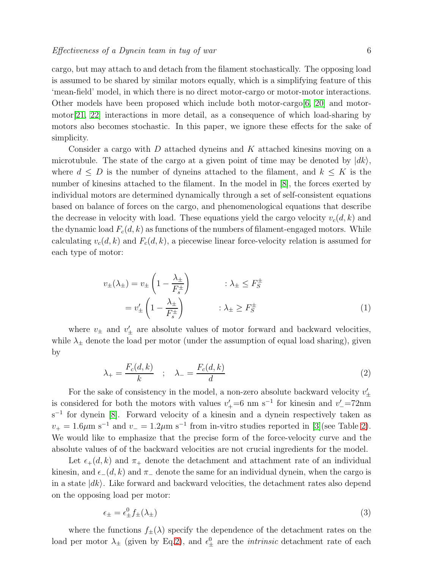cargo, but may attach to and detach from the filament stochastically. The opposing load is assumed to be shared by similar motors equally, which is a simplifying feature of this 'mean-field' model, in which there is no direct motor-cargo or motor-motor interactions. Other models have been proposed which include both motor-cargo  $[6, 20]$  $[6, 20]$  and motormotor[\[21,](#page-19-6) [22\]](#page-19-7) interactions in more detail, as a consequence of which load-sharing by motors also becomes stochastic. In this paper, we ignore these effects for the sake of simplicity.

Consider a cargo with  $D$  attached dyneins and  $K$  attached kinesins moving on a microtubule. The state of the cargo at a given point of time may be denoted by  $|dk\rangle$ , where  $d \leq D$  is the number of dyneins attached to the filament, and  $k \leq K$  is the number of kinesins attached to the filament. In the model in [\[8\]](#page-18-7), the forces exerted by individual motors are determined dynamically through a set of self-consistent equations based on balance of forces on the cargo, and phenomenological equations that describe the decrease in velocity with load. These equations yield the cargo velocity  $v_c(d, k)$  and the dynamic load  $F_c(d, k)$  as functions of the numbers of filament-engaged motors. While calculating  $v_c(d, k)$  and  $F_c(d, k)$ , a piecewise linear force-velocity relation is assumed for each type of motor:

$$
v_{\pm}(\lambda_{\pm}) = v_{\pm} \left( 1 - \frac{\lambda_{\pm}}{F_s^{\pm}} \right) \qquad : \lambda_{\pm} \le F_S^{\pm}
$$

$$
= v_{\pm}' \left( 1 - \frac{\lambda_{\pm}}{F_s^{\pm}} \right) \qquad : \lambda_{\pm} \ge F_S^{\pm}
$$

$$
(1)
$$

where  $v_{\pm}$  and  $v'_{\pm}$  are absolute values of motor forward and backward velocities, while  $\lambda_{\pm}$  denote the load per motor (under the assumption of equal load sharing), given by

<span id="page-5-0"></span>
$$
\lambda_{+} = \frac{F_c(d, k)}{k} \quad ; \quad \lambda_{-} = \frac{F_c(d, k)}{d} \tag{2}
$$

For the sake of consistency in the model, a non-zero absolute backward velocity  $v'_\pm$ is considered for both the motors with values  $v'_{+} = 6$  nm s<sup>-1</sup> for kinesin and  $v'_{-} = 72$ nm s<sup>-1</sup> for dynein [\[8\]](#page-18-7). Forward velocity of a kinesin and a dynein respectively taken as  $v_{+} = 1.6 \mu m s^{-1}$  and  $v_{-} = 1.2 \mu m s^{-1}$  from in-vitro studies reported in [\[3\]](#page-18-2)(see Table [2\)](#page-4-1). We would like to emphasize that the precise form of the force-velocity curve and the absolute values of of the backward velocities are not crucial ingredients for the model.

Let  $\epsilon_{+}(d, k)$  and  $\pi_{+}$  denote the detachment and attachment rate of an individual kinesin, and  $\epsilon_-(d, k)$  and  $\pi_-\$  denote the same for an individual dynein, when the cargo is in a state  $|dk\rangle$ . Like forward and backward velocities, the detachment rates also depend on the opposing load per motor:

<span id="page-5-1"></span>
$$
\epsilon_{\pm} = \epsilon_{\pm}^0 f_{\pm}(\lambda_{\pm}) \tag{3}
$$

where the functions  $f_{\pm}(\lambda)$  specify the dependence of the detachment rates on the load per motor  $\lambda_{\pm}$  (given by Eq[.2\)](#page-5-0), and  $\epsilon_{\pm}^{0}$  are the *intrinsic* detachment rate of each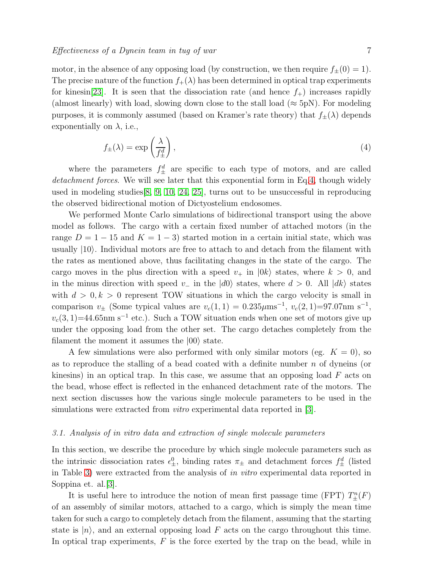motor, in the absence of any opposing load (by construction, we then require  $f_{\pm}(0) = 1$ ). The precise nature of the function  $f_+(\lambda)$  has been determined in optical trap experiments for kinesin[\[23\]](#page-19-8). It is seen that the dissociation rate (and hence  $f_{+}$ ) increases rapidly (almost linearly) with load, slowing down close to the stall load ( $\approx$  5pN). For modeling purposes, it is commonly assumed (based on Kramer's rate theory) that  $f_{\pm}(\lambda)$  depends exponentially on  $\lambda$ , i.e.,

<span id="page-6-0"></span>
$$
f_{\pm}(\lambda) = \exp\left(\frac{\lambda}{f_{\pm}^d}\right),\tag{4}
$$

where the parameters  $f_{\pm}^{d}$  are specific to each type of motors, and are called detachment forces. We will see later that this exponential form in Eq[.4,](#page-6-0) though widely used in modeling studies[\[8,](#page-18-7) [9,](#page-18-8) [10,](#page-18-9) [24,](#page-19-9) [25\]](#page-19-10), turns out to be unsuccessful in reproducing the observed bidirectional motion of Dictyostelium endosomes.

We performed Monte Carlo simulations of bidirectional transport using the above model as follows. The cargo with a certain fixed number of attached motors (in the range  $D = 1 - 15$  and  $K = 1 - 3$ ) started motion in a certain initial state, which was usually  $|10\rangle$ . Individual motors are free to attach to and detach from the filament with the rates as mentioned above, thus facilitating changes in the state of the cargo. The cargo moves in the plus direction with a speed  $v_+$  in  $|0k\rangle$  states, where  $k > 0$ , and in the minus direction with speed v<sub>−</sub> in the  $|d0\rangle$  states, where  $d > 0$ . All  $|dk\rangle$  states with  $d > 0, k > 0$  represent TOW situations in which the cargo velocity is small in comparison  $v_{\pm}$  (Some typical values are  $v_c(1, 1) = 0.235 \mu \text{ms}^{-1}$ ,  $v_c(2, 1) = 97.07 \text{nm s}^{-1}$ ,  $v_c(3, 1) = 44.65$ nm s<sup>-1</sup> etc.). Such a TOW situation ends when one set of motors give up under the opposing load from the other set. The cargo detaches completely from the filament the moment it assumes the  $|00\rangle$  state.

A few simulations were also performed with only similar motors (eg.  $K = 0$ ), so as to reproduce the stalling of a bead coated with a definite number  $n$  of dyneins (or kinesins) in an optical trap. In this case, we assume that an opposing load  $F$  acts on the bead, whose effect is reflected in the enhanced detachment rate of the motors. The next section discusses how the various single molecule parameters to be used in the simulations were extracted from *vitro* experimental data reported in [\[3\]](#page-18-2).

### 3.1. Analysis of in vitro data and extraction of single molecule parameters

In this section, we describe the procedure by which single molecule parameters such as the intrinsic dissociation rates  $\epsilon_{\pm}^0$ , binding rates  $\pi_{\pm}$  and detachment forces  $f_{\pm}^d$  (listed in Table [3\)](#page-7-0) were extracted from the analysis of in vitro experimental data reported in Soppina et. al.[\[3\]](#page-18-2).

It is useful here to introduce the notion of mean first passage time (FPT)  $T_{\pm}^{n}(F)$ of an assembly of similar motors, attached to a cargo, which is simply the mean time taken for such a cargo to completely detach from the filament, assuming that the starting state is  $|n\rangle$ , and an external opposing load F acts on the cargo throughout this time. In optical trap experiments,  $F$  is the force exerted by the trap on the bead, while in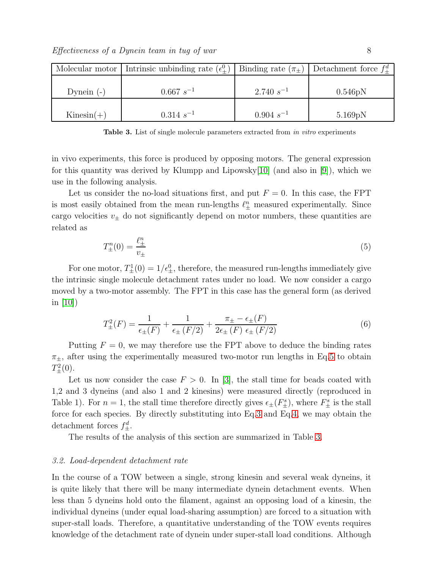|              | Molecular motor   Intrinsic unbinding rate $(\epsilon_+^0)$   Binding rate $(\pi_{\pm})$   Detachment force $f_{\pm}^d$ |                |                      |
|--------------|-------------------------------------------------------------------------------------------------------------------------|----------------|----------------------|
| Dynein $(-)$ | $0.667\ s^{-1}$                                                                                                         | $2.740 s^{-1}$ | 0.546pN              |
| $Kinesin(+)$ | $0.314 s^{-1}$                                                                                                          | $0.904 s^{-1}$ | 5.169 <sub>p</sub> N |

<span id="page-7-0"></span>Table 3. List of single molecule parameters extracted from in vitro experiments

in vivo experiments, this force is produced by opposing motors. The general expression for this quantity was derived by Klumpp and Lipowsky[\[10\]](#page-18-9) (and also in [\[9\]](#page-18-8)), which we use in the following analysis.

Let us consider the no-load situations first, and put  $F = 0$ . In this case, the FPT is most easily obtained from the mean run-lengths  $\ell_{\pm}^{n}$  measured experimentally. Since cargo velocities  $v_{\pm}$  do not significantly depend on motor numbers, these quantities are related as

<span id="page-7-1"></span>
$$
T_{\pm}^{n}(0) = \frac{\ell_{\pm}^{n}}{v_{\pm}} \tag{5}
$$

For one motor,  $T_{\pm}^1(0) = 1/\epsilon_{\pm}^0$ , therefore, the measured run-lengths immediately give the intrinsic single molecule detachment rates under no load. We now consider a cargo moved by a two-motor assembly. The FPT in this case has the general form (as derived in [\[10\]](#page-18-9))

<span id="page-7-2"></span>
$$
T_{\pm}^{2}(F) = \frac{1}{\epsilon_{\pm}(F)} + \frac{1}{\epsilon_{\pm}(F/2)} + \frac{\pi_{\pm} - \epsilon_{\pm}(F)}{2\epsilon_{\pm}(F) \epsilon_{\pm}(F/2)}
$$
(6)

Putting  $F = 0$ , we may therefore use the FPT above to deduce the binding rates  $\pi_{\pm}$ , after using the experimentally measured two-motor run lengths in Eq[.5](#page-7-1) to obtain  $T_{\pm}^{2}(0)$ .

Let us now consider the case  $F > 0$ . In [\[3\]](#page-18-2), the stall time for beads coated with 1,2 and 3 dyneins (and also 1 and 2 kinesins) were measured directly (reproduced in Table 1). For  $n = 1$ , the stall time therefore directly gives  $\epsilon_{\pm}(F_{\pm}^s)$ , where  $F_{\pm}^s$  is the stall force for each species. By directly substituting into Eq[.3](#page-5-1) and Eq[.4,](#page-6-0) we may obtain the detachment forces  $f_{\pm}^d$ .

The results of the analysis of this section are summarized in Table [3.](#page-7-0)

## 3.2. Load-dependent detachment rate

In the course of a TOW between a single, strong kinesin and several weak dyneins, it is quite likely that there will be many intermediate dynein detachment events. When less than 5 dyneins hold onto the filament, against an opposing load of a kinesin, the individual dyneins (under equal load-sharing assumption) are forced to a situation with super-stall loads. Therefore, a quantitative understanding of the TOW events requires knowledge of the detachment rate of dynein under super-stall load conditions. Although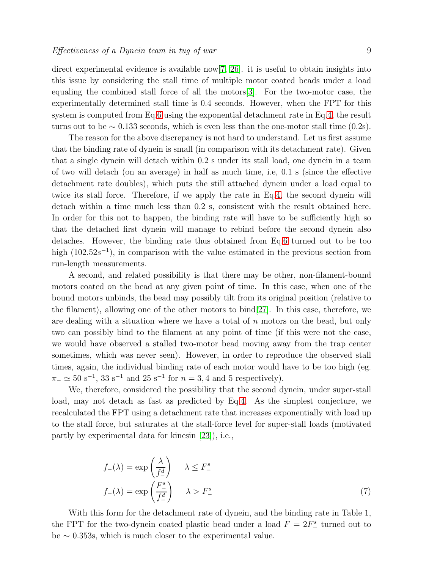direct experimental evidence is available now[\[7,](#page-18-6) [26\]](#page-19-11). it is useful to obtain insights into this issue by considering the stall time of multiple motor coated beads under a load equaling the combined stall force of all the motors[\[3\]](#page-18-2). For the two-motor case, the experimentally determined stall time is 0.4 seconds. However, when the FPT for this system is computed from Eq[.6](#page-7-2) using the exponential detachment rate in Eq[.4,](#page-6-0) the result turns out to be  $\sim 0.133$  seconds, which is even less than the one-motor stall time (0.2s).

The reason for the above discrepancy is not hard to understand. Let us first assume that the binding rate of dynein is small (in comparison with its detachment rate). Given that a single dynein will detach within 0.2 s under its stall load, one dynein in a team of two will detach (on an average) in half as much time, i.e, 0.1 s (since the effective detachment rate doubles), which puts the still attached dynein under a load equal to twice its stall force. Therefore, if we apply the rate in Eq[.4,](#page-6-0) the second dynein will detach within a time much less than 0.2 s, consistent with the result obtained here. In order for this not to happen, the binding rate will have to be sufficiently high so that the detached first dynein will manage to rebind before the second dynein also detaches. However, the binding rate thus obtained from Eq[.6](#page-7-2) turned out to be too high  $(102.52s^{-1})$ , in comparison with the value estimated in the previous section from run-length measurements.

A second, and related possibility is that there may be other, non-filament-bound motors coated on the bead at any given point of time. In this case, when one of the bound motors unbinds, the bead may possibly tilt from its original position (relative to the filament), allowing one of the other motors to bind[\[27\]](#page-19-12). In this case, therefore, we are dealing with a situation where we have a total of  $n$  motors on the bead, but only two can possibly bind to the filament at any point of time (if this were not the case, we would have observed a stalled two-motor bead moving away from the trap center sometimes, which was never seen). However, in order to reproduce the observed stall times, again, the individual binding rate of each motor would have to be too high (eg.  $\pi_-\simeq 50 \text{ s}^{-1}$ , 33 s<sup>-1</sup> and 25 s<sup>-1</sup> for  $n=3,4$  and 5 respectively).

We, therefore, considered the possibility that the second dynein, under super-stall load, may not detach as fast as predicted by Eq[.4.](#page-6-0) As the simplest conjecture, we recalculated the FPT using a detachment rate that increases exponentially with load up to the stall force, but saturates at the stall-force level for super-stall loads (motivated partly by experimental data for kinesin [\[23\]](#page-19-8)), i.e.,

<span id="page-8-0"></span>
$$
f_{-}(\lambda) = \exp\left(\frac{\lambda}{f_{-}^{d}}\right) \quad \lambda \le F_{-}^{s}
$$

$$
f_{-}(\lambda) = \exp\left(\frac{F_{-}^{s}}{f_{-}^{d}}\right) \quad \lambda > F_{-}^{s}
$$
(7)

With this form for the detachment rate of dynein, and the binding rate in Table 1, the FPT for the two-dynein coated plastic bead under a load  $F = 2F_{-}^{s}$  turned out to be ∼ 0.353s, which is much closer to the experimental value.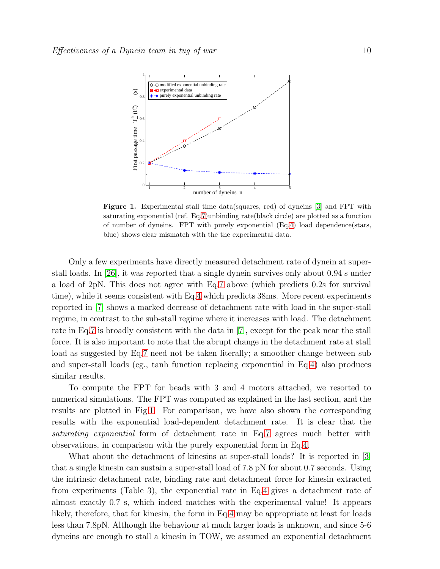

<span id="page-9-0"></span>Figure 1. Experimental stall time data(squares, red) of dyneins [\[3\]](#page-18-2) and FPT with saturating exponential (ref. Eq[.7\)](#page-8-0)unbinding rate(black circle) are plotted as a function of number of dyneins. FPT with purely exponential (Eq[.4\)](#page-6-0) load dependence(stars, blue) shows clear mismatch with the the experimental data.

Only a few experiments have directly measured detachment rate of dynein at superstall loads. In [\[26\]](#page-19-11), it was reported that a single dynein survives only about 0.94 s under a load of 2pN. This does not agree with Eq[.7](#page-8-0) above (which predicts 0.2s for survival time), while it seems consistent with Eq[.4](#page-6-0) which predicts 38ms. More recent experiments reported in [\[7\]](#page-18-6) shows a marked decrease of detachment rate with load in the super-stall regime, in contrast to the sub-stall regime where it increases with load. The detachment rate in Eq[.7](#page-8-0) is broadly consistent with the data in [\[7\]](#page-18-6), except for the peak near the stall force. It is also important to note that the abrupt change in the detachment rate at stall load as suggested by Eq[.7](#page-8-0) need not be taken literally; a smoother change between sub and super-stall loads (eg., tanh function replacing exponential in Eq[.4\)](#page-6-0) also produces similar results.

To compute the FPT for beads with 3 and 4 motors attached, we resorted to numerical simulations. The FPT was computed as explained in the last section, and the results are plotted in Fig[.1.](#page-9-0) For comparison, we have also shown the corresponding results with the exponential load-dependent detachment rate. It is clear that the saturating exponential form of detachment rate in Eq[.7](#page-8-0) agrees much better with observations, in comparison with the purely exponential form in Eq[.4.](#page-6-0)

What about the detachment of kinesins at super-stall loads? It is reported in [\[3\]](#page-18-2) that a single kinesin can sustain a super-stall load of 7.8 pN for about 0.7 seconds. Using the intrinsic detachment rate, binding rate and detachment force for kinesin extracted from experiments (Table 3), the exponential rate in Eq[.4](#page-6-0) gives a detachment rate of almost exactly 0.7 s, which indeed matches with the experimental value! It appears likely, therefore, that for kinesin, the form in Eq[.4](#page-6-0) may be appropriate at least for loads less than 7.8pN. Although the behaviour at much larger loads is unknown, and since 5-6 dyneins are enough to stall a kinesin in TOW, we assumed an exponential detachment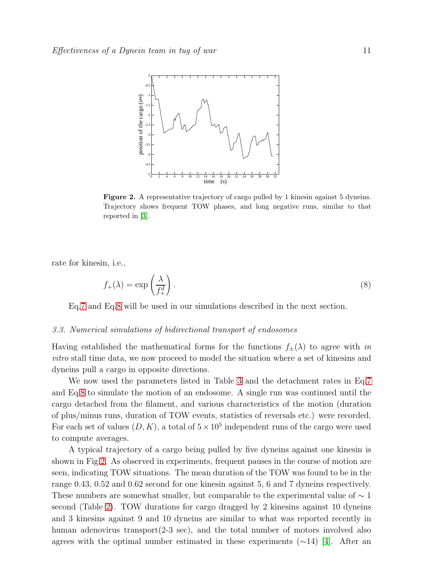

<span id="page-10-1"></span>Figure 2. A representative trajectory of cargo pulled by 1 kinesin against 5 dyneins. Trajectory shows frequent TOW phases, and long negative runs, similar to that reported in [\[3\]](#page-18-2).

rate for kinesin, i.e.,

<span id="page-10-0"></span>
$$
f_{+}(\lambda) = \exp\left(\frac{\lambda}{f_{+}^{d}}\right). \tag{8}
$$

Eq[.7](#page-8-0) and Eq[.8](#page-10-0) will be used in our simulations described in the next section.

#### 3.3. Numerical simulations of bidirectional transport of endosomes

Having established the mathematical forms for the functions  $f_{\pm}(\lambda)$  to agree with in vitro stall time data, we now proceed to model the situation where a set of kinesins and dyneins pull a cargo in opposite directions.

We now used the parameters listed in Table [3](#page-7-0) and the detachment rates in Eq[.7](#page-8-0) and Eq[.8](#page-10-0) to simulate the motion of an endosome. A single run was continued until the cargo detached from the filament, and various characteristics of the motion (duration of plus/minus runs, duration of TOW events, statistics of reversals etc.) were recorded. For each set of values  $(D, K)$ , a total of  $5 \times 10^5$  independent runs of the cargo were used to compute averages.

A typical trajectory of a cargo being pulled by five dyneins against one kinesin is shown in Fig[.2.](#page-10-1) As observed in experiments, frequent pauses in the course of motion are seen, indicating TOW situations. The mean duration of the TOW was found to be in the range 0.43, 0.52 and 0.62 second for one kinesin against 5, 6 and 7 dyneins respectively. These numbers are somewhat smaller, but comparable to the experimental value of  $\sim 1$ second (Table [2\)](#page-4-1). TOW durations for cargo dragged by 2 kinesins against 10 dyneins and 3 kinesins against 9 and 10 dyneins are similar to what was reported recently in human adenovirus transport(2-3 sec), and the total number of motors involved also agrees with the optimal number estimated in these experiments  $(\sim 14)$  [\[4\]](#page-18-3). After an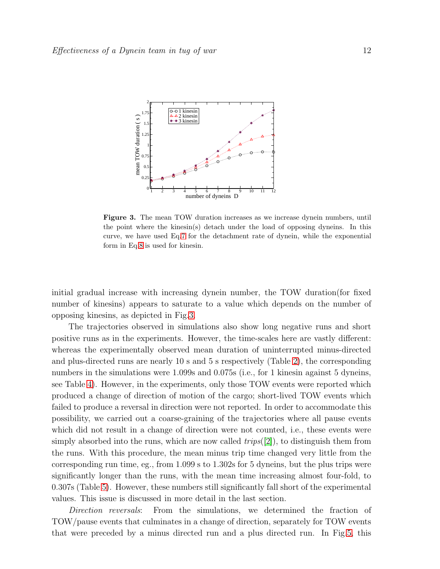

<span id="page-11-0"></span>Figure 3. The mean TOW duration increases as we increase dynein numbers, until the point where the kinesin(s) detach under the load of opposing dyneins. In this curve, we have used Eq[.7](#page-8-0) for the detachment rate of dynein, while the exponential form in Eq[.8](#page-10-0) is used for kinesin.

initial gradual increase with increasing dynein number, the TOW duration(for fixed number of kinesins) appears to saturate to a value which depends on the number of opposing kinesins, as depicted in Fig[.3.](#page-11-0)

The trajectories observed in simulations also show long negative runs and short positive runs as in the experiments. However, the time-scales here are vastly different: whereas the experimentally observed mean duration of uninterrupted minus-directed and plus-directed runs are nearly 10 s and 5 s respectively (Table [2\)](#page-4-1), the corresponding numbers in the simulations were 1.099s and 0.075s (i.e., for 1 kinesin against 5 dyneins, see Table [4\)](#page-12-0). However, in the experiments, only those TOW events were reported which produced a change of direction of motion of the cargo; short-lived TOW events which failed to produce a reversal in direction were not reported. In order to accommodate this possibility, we carried out a coarse-graining of the trajectories where all pause events which did not result in a change of direction were not counted, i.e., these events were simply absorbed into the runs, which are now called  $trips([2])$  $trips([2])$  $trips([2])$ , to distinguish them from the runs. With this procedure, the mean minus trip time changed very little from the corresponding run time, eg., from 1.099 s to 1.302s for 5 dyneins, but the plus trips were significantly longer than the runs, with the mean time increasing almost four-fold, to 0.307s (Table [5\)](#page-12-1). However, these numbers still significantly fall short of the experimental values. This issue is discussed in more detail in the last section.

Direction reversals: From the simulations, we determined the fraction of TOW/pause events that culminates in a change of direction, separately for TOW events that were preceded by a minus directed run and a plus directed run. In Fig[.5,](#page-13-0) this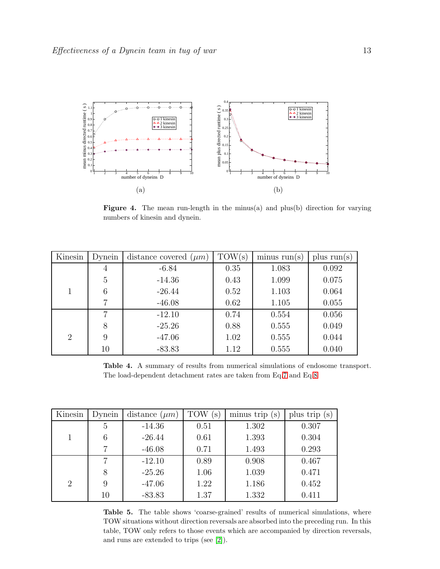

Figure 4. The mean run-length in the minus(a) and plus(b) direction for varying numbers of kinesin and dynein.

| Kinesin        | Dynein         | distance covered $(\mu m)$ | TOW(s) | minus run(s) | plus $run(s)$ |
|----------------|----------------|----------------------------|--------|--------------|---------------|
|                | $\overline{4}$ | $-6.84$                    | 0.35   | 1.083        | 0.092         |
|                | 5              | $-14.36$                   | 0.43   | 1.099        | 0.075         |
|                | 6              | $-26.44$                   | 0.52   | 1.103        | 0.064         |
|                | 7              | $-46.08$                   | 0.62   | 1.105        | 0.055         |
|                | 7              | $-12.10$                   | 0.74   | 0.554        | 0.056         |
|                | 8              | $-25.26$                   | 0.88   | 0.555        | 0.049         |
| $\overline{2}$ | 9              | $-47.06$                   | 1.02   | 0.555        | 0.044         |
|                | 10             | $-83.83$                   | 1.12   | 0.555        | 0.040         |

<span id="page-12-0"></span>Table 4. A summary of results from numerical simulations of endosome transport. The load-dependent detachment rates are taken from Eq[.7](#page-8-0) and Eq[.8](#page-10-0)

| Kinesin        | Dynein | distance $(\mu m)$ | TOW<br>$\mathbf{s}$ | minus trip $(s)$ | plus trip (s) |
|----------------|--------|--------------------|---------------------|------------------|---------------|
|                | 5      | $-14.36$           | 0.51                | 1.302            | 0.307         |
|                | 6      | $-26.44$           | 0.61                | 1.393            | 0.304         |
|                | 7      | $-46.08$           | 0.71                | 1.493            | 0.293         |
|                |        | $-12.10$           | 0.89                | 0.908            | 0.467         |
|                | 8      | $-25.26$           | 1.06                | 1.039            | 0.471         |
| $\overline{2}$ | 9      | $-47.06$           | 1.22                | 1.186            | 0.452         |
|                | 10     | $-83.83$           | 1.37                | 1.332            | 0.411         |

<span id="page-12-1"></span>Table 5. The table shows 'coarse-grained' results of numerical simulations, where TOW situations without direction reversals are absorbed into the preceding run. In this table, TOW only refers to those events which are accompanied by direction reversals, and runs are extended to trips (see [\[2\]](#page-18-1)).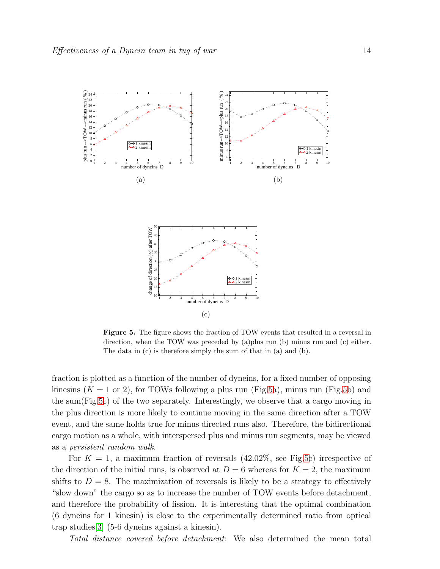

<span id="page-13-0"></span>Figure 5. The figure shows the fraction of TOW events that resulted in a reversal in direction, when the TOW was preceded by (a)plus run (b) minus run and (c) either. The data in (c) is therefore simply the sum of that in (a) and (b).

fraction is plotted as a function of the number of dyneins, for a fixed number of opposing kinesins  $(K = 1 \text{ or } 2)$ , for TOWs following a plus run (Fig[.5a](#page-13-0)), minus run (Fig[.5b](#page-13-0)) and the sum(Fig[.5c](#page-13-0)) of the two separately. Interestingly, we observe that a cargo moving in the plus direction is more likely to continue moving in the same direction after a TOW event, and the same holds true for minus directed runs also. Therefore, the bidirectional cargo motion as a whole, with interspersed plus and minus run segments, may be viewed as a persistent random walk.

For  $K = 1$ , a maximum fraction of reversals (42.02%, see Fig[.5c](#page-13-0)) irrespective of the direction of the initial runs, is observed at  $D=6$  whereas for  $K=2$ , the maximum shifts to  $D = 8$ . The maximization of reversals is likely to be a strategy to effectively "slow down" the cargo so as to increase the number of TOW events before detachment, and therefore the probability of fission. It is interesting that the optimal combination (6 dyneins for 1 kinesin) is close to the experimentally determined ratio from optical trap studies[\[3\]](#page-18-2) (5-6 dyneins against a kinesin).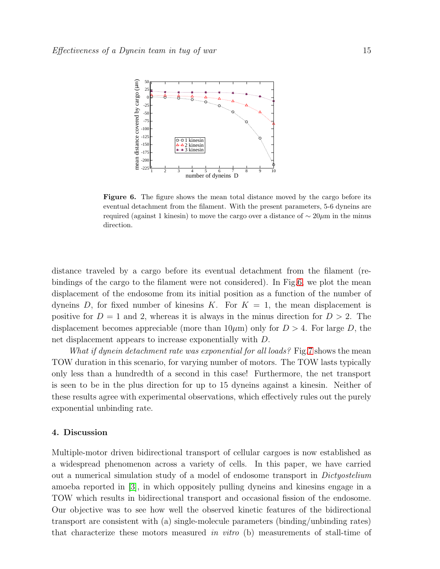

<span id="page-14-0"></span>Figure 6. The figure shows the mean total distance moved by the cargo before its eventual detachment from the filament. With the present parameters, 5-6 dyneins are required (against 1 kinesin) to move the cargo over a distance of  $\sim 20 \mu m$  in the minus direction.

distance traveled by a cargo before its eventual detachment from the filament (rebindings of the cargo to the filament were not considered). In Fig[.6,](#page-14-0) we plot the mean displacement of the endosome from its initial position as a function of the number of dyneins D, for fixed number of kinesins K. For  $K = 1$ , the mean displacement is positive for  $D = 1$  and 2, whereas it is always in the minus direction for  $D > 2$ . The displacement becomes appreciable (more than  $10\mu$ m) only for  $D > 4$ . For large D, the net displacement appears to increase exponentially with D.

What if dynein detachment rate was exponential for all loads? Fig[.7](#page-15-0) shows the mean TOW duration in this scenario, for varying number of motors. The TOW lasts typically only less than a hundredth of a second in this case! Furthermore, the net transport is seen to be in the plus direction for up to 15 dyneins against a kinesin. Neither of these results agree with experimental observations, which effectively rules out the purely exponential unbinding rate.

### 4. Discussion

Multiple-motor driven bidirectional transport of cellular cargoes is now established as a widespread phenomenon across a variety of cells. In this paper, we have carried out a numerical simulation study of a model of endosome transport in Dictyostelium amoeba reported in [\[3\]](#page-18-2), in which oppositely pulling dyneins and kinesins engage in a TOW which results in bidirectional transport and occasional fission of the endosome. Our objective was to see how well the observed kinetic features of the bidirectional transport are consistent with (a) single-molecule parameters (binding/unbinding rates) that characterize these motors measured in vitro (b) measurements of stall-time of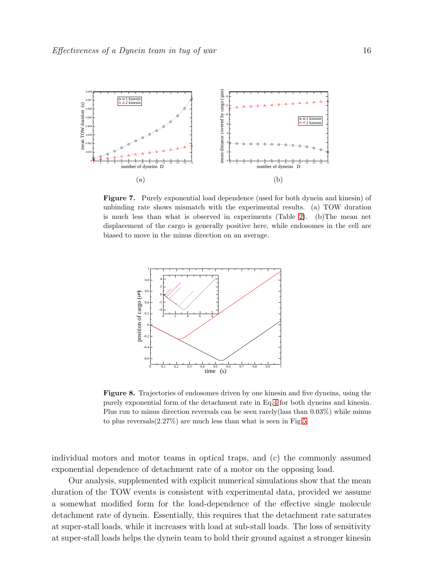

<span id="page-15-0"></span>Figure 7. Purely exponential load dependence (used for both dynein and kinesin) of unbinding rate shows mismatch with the experimental results. (a) TOW duration is much less than what is observed in experiments (Table [2\)](#page-4-1). (b)The mean net displacement of the cargo is generally positive here, while endosomes in the cell are biased to move in the minus direction on an average.



Figure 8. Trajectories of endosomes driven by one kinesin and five dyneins, using the purely exponential form of the detachment rate in Eq[.4](#page-6-0) for both dyneins and kinesin. Plus run to minus direction reversals can be seen rarely(lass than 0.03%) while minus to plus reversals $(2.27\%)$  are much less than what is seen in Fig[.5.](#page-13-0)

individual motors and motor teams in optical traps, and (c) the commonly assumed exponential dependence of detachment rate of a motor on the opposing load.

Our analysis, supplemented with explicit numerical simulations show that the mean duration of the TOW events is consistent with experimental data, provided we assume a somewhat modified form for the load-dependence of the effective single molecule detachment rate of dynein. Essentially, this requires that the detachment rate saturates at super-stall loads, while it increases with load at sub-stall loads. The loss of sensitivity at super-stall loads helps the dynein team to hold their ground against a stronger kinesin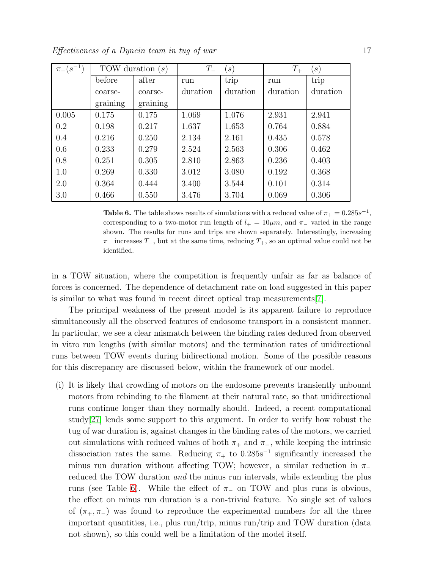Effectiveness of a Dynein team in tug of war 17

| $\pi_{-}(s^{-1})$ | TOW duration $(s)$ |          | $T_{-}$<br>$\left( s\right)$ |          | $T_{+}$<br>$\left( s\right)$ |          |
|-------------------|--------------------|----------|------------------------------|----------|------------------------------|----------|
|                   | before             | after    | run                          | trip     | run                          | trip     |
|                   | coarse-            | coarse-  | duration                     | duration | duration                     | duration |
|                   | graining           | graining |                              |          |                              |          |
| 0.005             | 0.175              | 0.175    | 1.069                        | 1.076    | 2.931                        | 2.941    |
| 0.2               | 0.198              | 0.217    | 1.637                        | 1.653    | 0.764                        | 0.884    |
| 0.4               | 0.216              | 0.250    | 2.134                        | 2.161    | 0.435                        | 0.578    |
| 0.6               | 0.233              | 0.279    | 2.524                        | 2.563    | 0.306                        | 0.462    |
| 0.8               | 0.251              | 0.305    | 2.810                        | 2.863    | 0.236                        | 0.403    |
| 1.0               | 0.269              | 0.330    | 3.012                        | 3.080    | 0.192                        | 0.368    |
| 2.0               | 0.364              | 0.444    | 3.400                        | 3.544    | 0.101                        | 0.314    |
| 3.0               | 0.466              | 0.550    | 3.476                        | 3.704    | 0.069                        | 0.306    |

<span id="page-16-0"></span>**Table 6.** The table shows results of simulations with a reduced value of  $\pi_+ = 0.285s^{-1}$ , corresponding to a two-motor run length of  $l_{+} = 10 \mu m$ , and  $\pi_{-}$  varied in the range shown. The results for runs and trips are shown separately. Interestingly, increasing  $π_$  increases  $T_$ , but at the same time, reducing  $T_+$ , so an optimal value could not be identified.

in a TOW situation, where the competition is frequently unfair as far as balance of forces is concerned. The dependence of detachment rate on load suggested in this paper is similar to what was found in recent direct optical trap measurements[\[7\]](#page-18-6).

The principal weakness of the present model is its apparent failure to reproduce simultaneously all the observed features of endosome transport in a consistent manner. In particular, we see a clear mismatch between the binding rates deduced from observed in vitro run lengths (with similar motors) and the termination rates of unidirectional runs between TOW events during bidirectional motion. Some of the possible reasons for this discrepancy are discussed below, within the framework of our model.

(i) It is likely that crowding of motors on the endosome prevents transiently unbound motors from rebinding to the filament at their natural rate, so that unidirectional runs continue longer than they normally should. Indeed, a recent computational study[\[27\]](#page-19-12) lends some support to this argument. In order to verify how robust the tug of war duration is, against changes in the binding rates of the motors, we carried out simulations with reduced values of both  $\pi_+$  and  $\pi_-$ , while keeping the intrinsic dissociation rates the same. Reducing  $\pi_+$  to 0.285s<sup>-1</sup> significantly increased the minus run duration without affecting TOW; however, a similar reduction in  $\pi$ reduced the TOW duration *and* the minus run intervals, while extending the plus runs (see Table [6\)](#page-16-0). While the effect of  $\pi_-\,$  on TOW and plus runs is obvious, the effect on minus run duration is a non-trivial feature. No single set of values of  $(\pi_+, \pi_-)$  was found to reproduce the experimental numbers for all the three important quantities, i.e., plus run/trip, minus run/trip and TOW duration (data not shown), so this could well be a limitation of the model itself.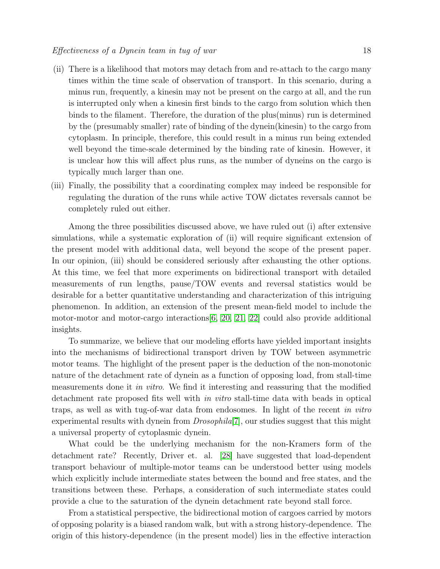- (ii) There is a likelihood that motors may detach from and re-attach to the cargo many times within the time scale of observation of transport. In this scenario, during a minus run, frequently, a kinesin may not be present on the cargo at all, and the run is interrupted only when a kinesin first binds to the cargo from solution which then binds to the filament. Therefore, the duration of the plus(minus) run is determined by the (presumably smaller) rate of binding of the dynein(kinesin) to the cargo from cytoplasm. In principle, therefore, this could result in a minus run being extended well beyond the time-scale determined by the binding rate of kinesin. However, it is unclear how this will affect plus runs, as the number of dyneins on the cargo is typically much larger than one.
- (iii) Finally, the possibility that a coordinating complex may indeed be responsible for regulating the duration of the runs while active TOW dictates reversals cannot be completely ruled out either.

Among the three possibilities discussed above, we have ruled out (i) after extensive simulations, while a systematic exploration of (ii) will require significant extension of the present model with additional data, well beyond the scope of the present paper. In our opinion, (iii) should be considered seriously after exhausting the other options. At this time, we feel that more experiments on bidirectional transport with detailed measurements of run lengths, pause/TOW events and reversal statistics would be desirable for a better quantitative understanding and characterization of this intriguing phenomenon. In addition, an extension of the present mean-field model to include the motor-motor and motor-cargo interactions[\[6,](#page-18-5) [20,](#page-19-5) [21,](#page-19-6) [22\]](#page-19-7) could also provide additional insights.

To summarize, we believe that our modeling efforts have yielded important insights into the mechanisms of bidirectional transport driven by TOW between asymmetric motor teams. The highlight of the present paper is the deduction of the non-monotonic nature of the detachment rate of dynein as a function of opposing load, from stall-time measurements done it in vitro. We find it interesting and reassuring that the modified detachment rate proposed fits well with in vitro stall-time data with beads in optical traps, as well as with tug-of-war data from endosomes. In light of the recent in vitro experimental results with dynein from  $Drosophila[7]$  $Drosophila[7]$ , our studies suggest that this might a universal property of cytoplasmic dynein.

What could be the underlying mechanism for the non-Kramers form of the detachment rate? Recently, Driver et. al. [\[28\]](#page-19-13) have suggested that load-dependent transport behaviour of multiple-motor teams can be understood better using models which explicitly include intermediate states between the bound and free states, and the transitions between these. Perhaps, a consideration of such intermediate states could provide a clue to the saturation of the dynein detachment rate beyond stall force.

From a statistical perspective, the bidirectional motion of cargoes carried by motors of opposing polarity is a biased random walk, but with a strong history-dependence. The origin of this history-dependence (in the present model) lies in the effective interaction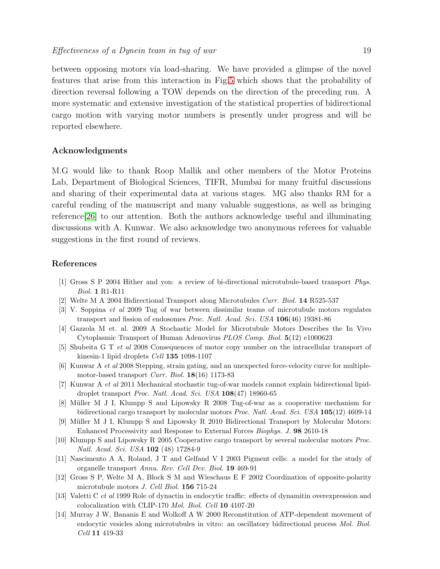between opposing motors via load-sharing. We have provided a glimpse of the novel features that arise from this interaction in Fig[.5](#page-13-0) which shows that the probability of direction reversal following a TOW depends on the direction of the preceding run. A more systematic and extensive investigation of the statistical properties of bidirectional cargo motion with varying motor numbers is presently under progress and will be reported elsewhere.

# Acknowledgments

M.G would like to thank Roop Mallik and other members of the Motor Proteins Lab, Department of Biological Sciences, TIFR, Mumbai for many fruitful discussions and sharing of their experimental data at various stages. MG also thanks RM for a careful reading of the manuscript and many valuable suggestions, as well as bringing reference[\[26\]](#page-19-11) to our attention. Both the authors acknowledge useful and illuminating discussions with A. Kunwar. We also acknowledge two anonymous referees for valuable suggestions in the first round of reviews.

## <span id="page-18-0"></span>References

- <span id="page-18-1"></span>[1] Gross S P 2004 Hither and yon: a review of bi-directional microtubule-based transport Phys. Biol. 1 R1-R11
- <span id="page-18-2"></span>[2] Welte M A 2004 Bidirectional Transport along Microtubules Curr. Biol. 14 R525-537
- [3] V. Soppina et al 2009 Tug of war between dissimilar teams of microtubule motors regulates transport and fission of endosomes Proc. Natl. Acad. Sci. USA 106(46) 19381-86
- <span id="page-18-3"></span>[4] Gazzola M et. al. 2009 A Stochastic Model for Microtubule Motors Describes the In Vivo Cytoplasmic Transport of Human Adenovirus PLOS Comp. Biol. 5(12) e1000623
- <span id="page-18-4"></span>[5] Shubeita G T et al 2008 Consequences of motor copy number on the intracellular transport of kinesin-1 lipid droplets Cell 135 1098-1107
- <span id="page-18-5"></span>[6] Kunwar A et al 2008 Stepping, strain gating, and an unexpected force-velocity curve for multiplemotor-based transport Curr. Biol. 18(16) 1173-83
- <span id="page-18-6"></span>[7] Kunwar A et al 2011 Mechanical stochastic tug-of-war models cannot explain bidirectional lipiddroplet transport Proc. Natl. Acad. Sci. USA 108(47) 18960-65
- <span id="page-18-7"></span>[8] M¨uller M J I, Klumpp S and Lipowsky R 2008 Tug-of-war as a cooperative mechanism for bidirectional cargo transport by molecular motors *Proc. Natl. Acad. Sci. USA* 105(12) 4609-14
- <span id="page-18-8"></span>[9] Müller M J I, Klumpp S and Lipowsky R 2010 Bidirectional Transport by Molecular Motors: Enhanced Processivity and Response to External Forces Biophys. J. 98 2610-18
- <span id="page-18-9"></span>[10] Klumpp S and Lipowsky R 2005 Cooperative cargo transport by several molecular motors Proc. Natl. Acad. Sci. USA 102 (48) 17284-9
- <span id="page-18-10"></span>[11] Nascimento A A, Roland, J T and Gelfand V I 2003 Pigment cells: a model for the study of organelle transport Annu. Rev. Cell Dev. Biol. 19 469-91
- <span id="page-18-12"></span><span id="page-18-11"></span>[12] Gross S P, Welte M A, Block S M and Wieschaus E F 2002 Coordination of opposite-polarity microtubule motors J. Cell Biol. 156 715-24
- <span id="page-18-13"></span>[13] Valetti C et al 1999 Role of dynactin in endocytic traffic: effects of dynamitin overexpression and colocalization with CLIP-170 Mol. Biol. Cell 10 4107-20
- [14] Murray J W, Bananis E and Wolkoff A W 2000 Reconstitution of ATP-dependent movement of endocytic vesicles along microtubules in vitro: an oscillatory bidirectional process Mol. Biol. Cell 11 419-33